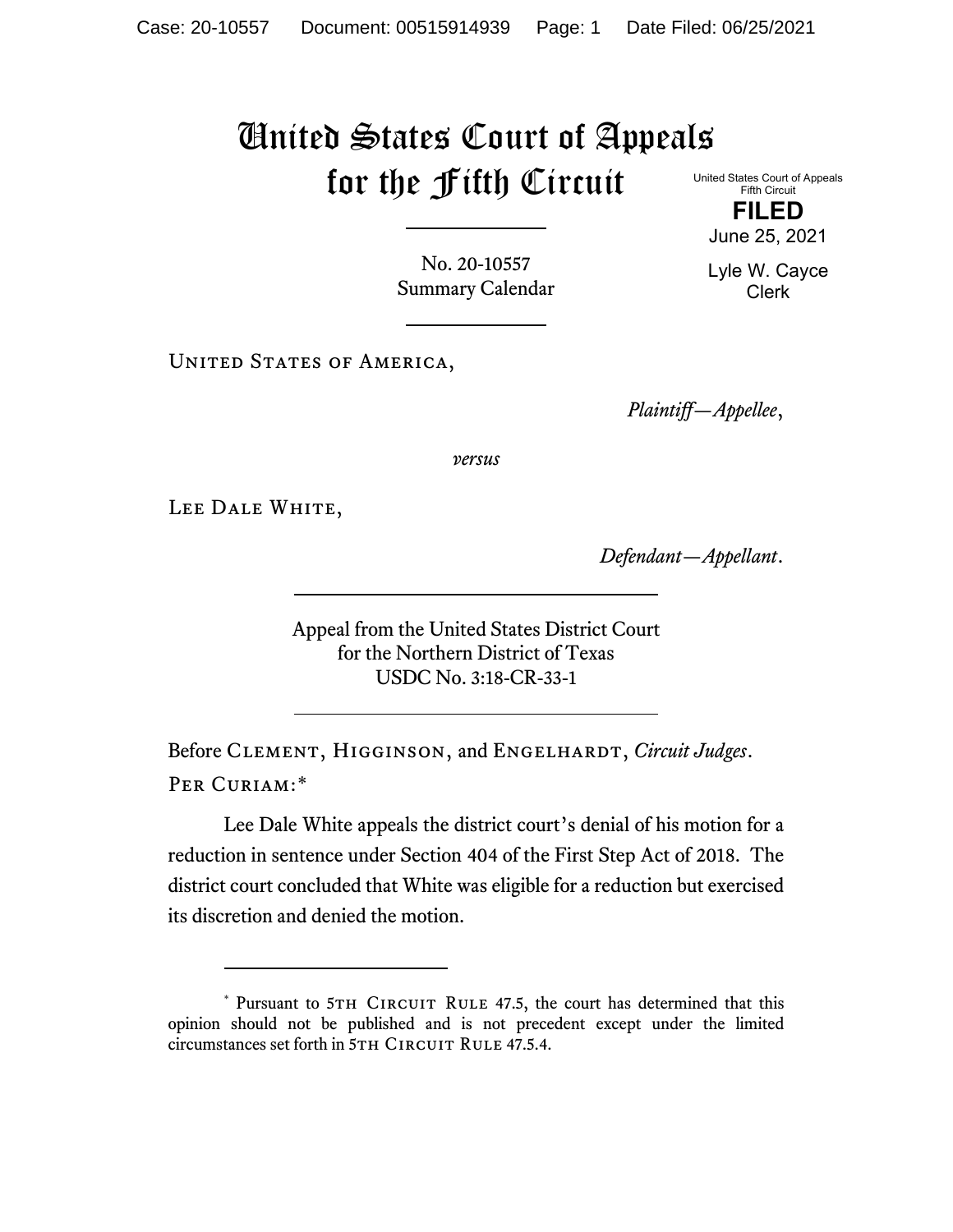## United States Court of Appeals for the Fifth Circuit

United States Court of Appeals Fifth Circuit **FILED**

No. 20-10557 Summary Calendar

UNITED STATES OF AMERICA,

*Plaintiff—Appellee*,

*versus*

LEE DALE WHITE,

*Defendant—Appellant*.

Appeal from the United States District Court for the Northern District of Texas USDC No. 3:18-CR-33-1

Before CLEMENT, HIGGINSON, and ENGELHARDT, *Circuit Judges*. Per Curiam:[\\*](#page-0-0)

Lee Dale White appeals the district court's denial of his motion for a reduction in sentence under Section 404 of the First Step Act of 2018. The district court concluded that White was eligible for a reduction but exercised its discretion and denied the motion.

June 25, 2021 Lyle W. Cayce Clerk

<span id="page-0-0"></span><sup>\*</sup> Pursuant to 5TH CIRCUIT RULE 47.5, the court has determined that this opinion should not be published and is not precedent except under the limited circumstances set forth in 5TH CIRCUIT RULE 47.5.4.